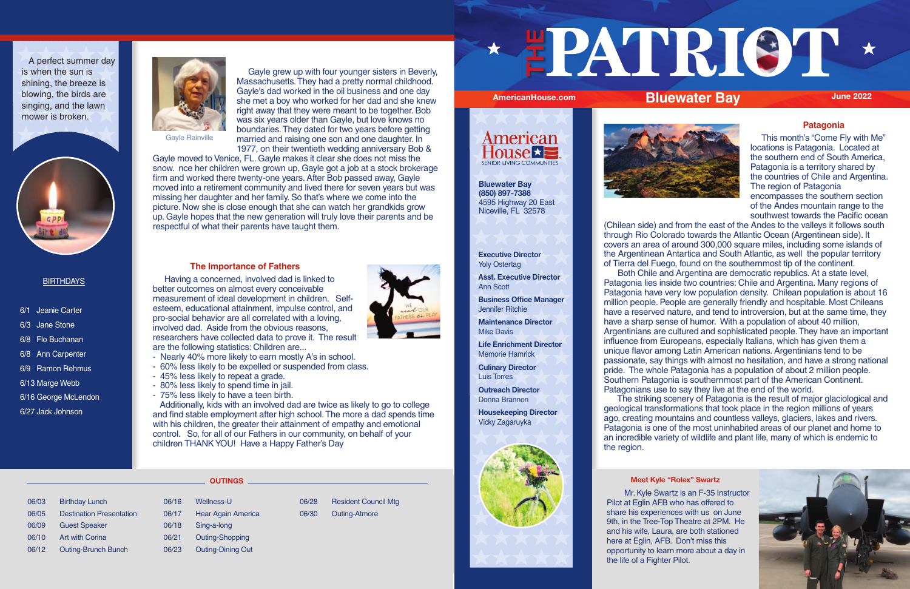# **Patagonia**

 This month's "Come Fly with Me" locations is Patagonia. Located at the southern end of South America, Patagonia is a territory shared by the countries of Chile and Argentina. The region of Patagonia encompasses the southern section of the Andes mountain range to the southwest towards the Pacific ocean

(Chilean side) and from the east of the Andes to the valleys it follows south through Rio Colorado towards the Atlantic Ocean (Argentinean side). It covers an area of around 300,000 square miles, including some islands of the Argentinean Antartica and South Atlantic, as well the popular territory of Tierra del Fuego, found on the southernmost tip of the continent. Both Chile and Argentina are democratic republics. At a state level, Patagonia lies inside two countries: Chile and Argentina. Many regions of Patagonia have very low population density. Chilean population is about 16 million people. People are generally friendly and hospitable. Most Chileans have a reserved nature, and tend to introversion, but at the same time, they have a sharp sense of humor. With a population of about 40 million, Argentinians are cultured and sophisticated people. They have an important influence from Europeans, especially Italians, which has given them a unique flavor among Latin American nations. Argentinians tend to be passionate, say things with almost no hesitation, and have a strong national pride. The whole Patagonia has a population of about 2 million people. Southern Patagonia is southernmost part of the American Continent. Patagonians use to say they live at the end of the world.

 The striking scenery of Patagonia is the result of major glaciological and geological transformations that took place in the region millions of years ago, creating mountains and countless valleys, glaciers, lakes and rivers. Patagonia is one of the most uninhabited areas of our planet and home to an incredible variety of wildlife and plant life, many of which is endemic to the region.

### **Executive Director** Yoly Ostertag

**Asst. Executive Director** Ann Scott

**Business Office Manager**

Jennifer Ritchie

**Maintenance Director**

Mike Davis

**Life Enrichment Director**

Memorie Hamrick

**Culinary Director** Luis Torres

**Outreach Director** Donna Brannon

**Housekeeping Director**



Vicky Zagaruyka





- 6/1 Jeanie Carter
- 6/3 Jane Stone
- 6/8 Flo Buchanan
- 6/8 Ann Carpenter
- 6/9 Ramon Rehmus
- 6/13 Marge Webb
- 6/16 George McLendon
- 6/27 Jack Johnson



A perfect summer day is when the sun is shining, the breeze is blowing, the birds are singing, and the lawn mower is broken.



## **BIRTHDAYS**

### **Meet Kyle "Rolex" Swartz**



 Mr. Kyle Swartz is an F-35 Instructor Pilot at Eglin AFB who has offered to share his experiences with us on June 9th, in the Tree-Top Theatre at 2PM. He and his wife, Laura, are both stationed here at Eglin, AFB. Don't miss this opportunity to learn more about a day in the life of a Fighter Pilot.



 Gayle grew up with four younger sisters in Beverly, Massachusetts. They had a pretty normal childhood. Gayle's dad worked in the oil business and one day she met a boy who worked for her dad and she knew right away that they were meant to be together. Bob was six years older than Gayle, but love knows no boundaries. They dated for two years before getting married and raising one son and one daughter. In 1977, on their twentieth wedding anniversary Bob &

Gayle moved to Venice, FL. Gayle makes it clear she does not miss the snow. nce her children were grown up, Gayle got a job at a stock brokerage firm and worked there twenty-one years. After Bob passed away, Gayle moved into a retirement community and lived there for seven years but was missing her daughter and her family. So that's where we come into the picture. Now she is close enough that she can watch her grandkids grow up. Gayle hopes that the new generation will truly love their parents and be respectful of what their parents have taught them.

## **The Importance of Fathers**

 Having a concerned, involved dad is linked to better outcomes on almost every conceivable measurement of ideal development in children. Selfesteem, educational attainment, impulse control, and pro-social behavior are all correlated with a loving, involved dad. Aside from the obvious reasons, researchers have collected data to prove it. The result are the following statistics: Children are...

- Nearly 40% more likely to earn mostly A's in school.
- 60% less likely to be expelled or suspended from class.
- 45% less likely to repeat a grade.
- 80% less likely to spend time in jail.
- 75% less likely to have a teen birth.

 Additionally, kids with an involved dad are twice as likely to go to college and find stable employment after high school. The more a dad spends time with his children, the greater their attainment of empathy and emotional control. So, for all of our Fathers in our community, on behalf of your children THANK YOU! Have a Happy Father's Day

- 06/03 Birthday Lunch 06/05 Destination Presentation 06/09 Guest Speaker 06/10 Art with Corina 06/12 Outing-Brunch Bunch
- 06/16 Wellness-U 06/17 Hear Again America 06/18 Sing-a-long
- 06/21 Outing-Shopping
- 06/23 Outing-Dining Out
- 06/28 Resident Council Mtg 06/30 Outing-Atmore



**THE** 





**OUTINGS**

**Bluewater Bay**



**(850) 897-7386** 4595 Highway 20 East Niceville, FL 32578

Gayle Rainville